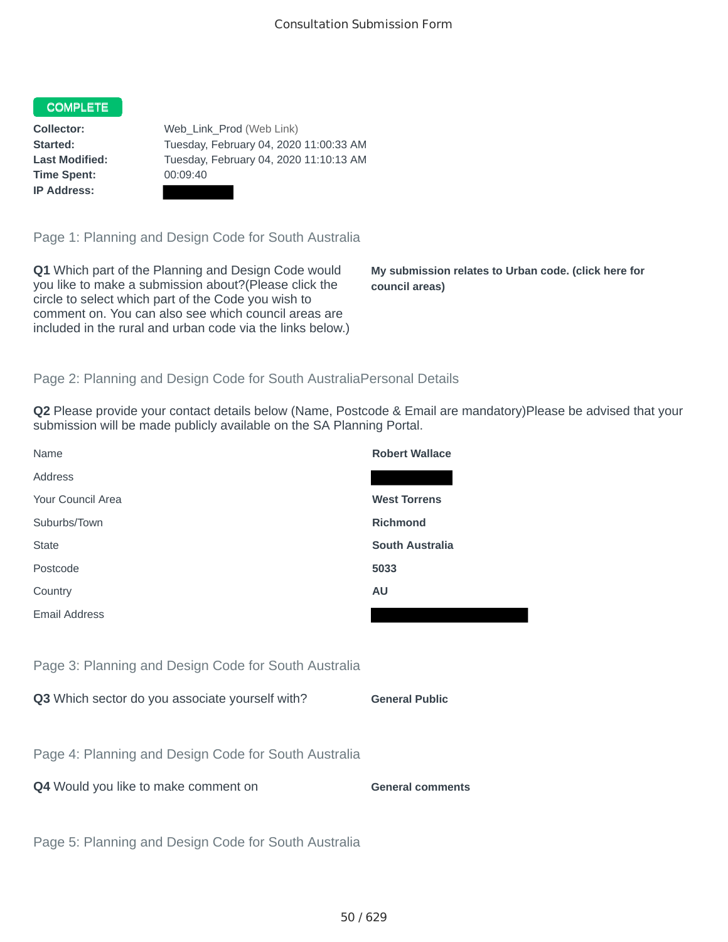## COMPLETE

**Time Spent:** 00:09:40 **IP Address:**

**Collector:** Web\_Link\_Prod (Web Link) **Started:** Tuesday, February 04, 2020 11:00:33 AM **Last Modified:** Tuesday, February 04, 2020 11:10:13 AM

Page 1: Planning and Design Code for South Australia

**Q1** Which part of the Planning and Design Code would you like to make a submission about?(Please click the circle to select which part of the Code you wish to comment on. You can also see which council areas are included in the rural and urban code via the links below.)

**My submission relates to Urban code. (click here for council areas)**

## Page 2: Planning and Design Code for South AustraliaPersonal Details

**Q2** Please provide your contact details below (Name, Postcode & Email are mandatory)Please be advised that your submission will be made publicly available on the SA Planning Portal.

| Name                                                 | <b>Robert Wallace</b>   |
|------------------------------------------------------|-------------------------|
| Address                                              |                         |
| Your Council Area                                    | <b>West Torrens</b>     |
| Suburbs/Town                                         | <b>Richmond</b>         |
| <b>State</b>                                         | <b>South Australia</b>  |
| Postcode                                             | 5033                    |
| Country                                              | <b>AU</b>               |
| Email Address                                        |                         |
|                                                      |                         |
| Page 3: Planning and Design Code for South Australia |                         |
| Q3 Which sector do you associate yourself with?      | <b>General Public</b>   |
|                                                      |                         |
| Page 4: Planning and Design Code for South Australia |                         |
| Q4 Would you like to make comment on                 | <b>General comments</b> |
|                                                      |                         |
| Page 5: Planning and Design Code for South Australia |                         |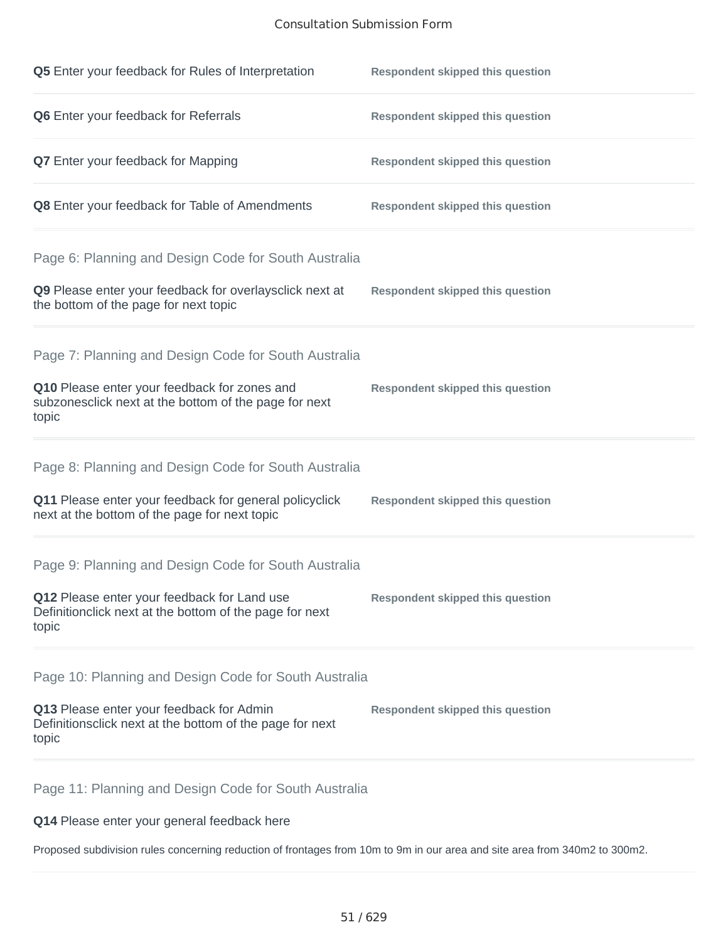## Consultation Submission Form

| Q5 Enter your feedback for Rules of Interpretation                                                              | <b>Respondent skipped this question</b> |
|-----------------------------------------------------------------------------------------------------------------|-----------------------------------------|
| Q6 Enter your feedback for Referrals                                                                            | <b>Respondent skipped this question</b> |
| Q7 Enter your feedback for Mapping                                                                              | <b>Respondent skipped this question</b> |
| Q8 Enter your feedback for Table of Amendments                                                                  | <b>Respondent skipped this question</b> |
| Page 6: Planning and Design Code for South Australia                                                            |                                         |
| Q9 Please enter your feedback for overlaysclick next at<br>the bottom of the page for next topic                | <b>Respondent skipped this question</b> |
| Page 7: Planning and Design Code for South Australia                                                            |                                         |
| Q10 Please enter your feedback for zones and<br>subzonesclick next at the bottom of the page for next<br>topic  | <b>Respondent skipped this question</b> |
| Page 8: Planning and Design Code for South Australia                                                            |                                         |
| Q11 Please enter your feedback for general policyclick<br>next at the bottom of the page for next topic         | <b>Respondent skipped this question</b> |
| Page 9: Planning and Design Code for South Australia                                                            |                                         |
| Q12 Please enter your feedback for Land use<br>Definitionclick next at the bottom of the page for next<br>topic | <b>Respondent skipped this question</b> |
| Page 10: Planning and Design Code for South Australia                                                           |                                         |
| Q13 Please enter your feedback for Admin<br>Definitionsclick next at the bottom of the page for next<br>topic   | <b>Respondent skipped this question</b> |
|                                                                                                                 |                                         |

Page 11: Planning and Design Code for South Australia

**Q14** Please enter your general feedback here

Proposed subdivision rules concerning reduction of frontages from 10m to 9m in our area and site area from 340m2 to 300m2.